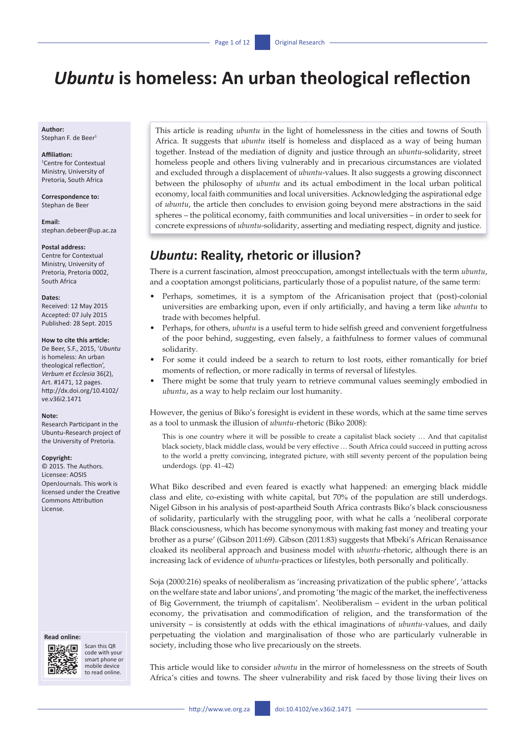# *Ubuntu* **is homeless: An urban theological reflection**

**Author:** Stephan F. de Beer<sup>1</sup>

#### **Affiliation:**

1 Centre for Contextual Ministry, University of Pretoria, South Africa

**Correspondence to:** Stephan de Beer

**Email:** [stephan.debeer@up.ac.za](mailto:stephan.debeer@up.ac.za)

#### **Postal address:**

Centre for Contextual Ministry, University of Pretoria, Pretoria 0002, South Africa

#### **Dates:**

Received: 12 May 2015 Accepted: 07 July 2015 Published: 28 Sept. 2015

#### **How to cite this article:**

De Beer, S.F., 2015, '*Ubuntu* is homeless: An urban theological reflection', *Verbum et Ecclesia* 36(2), Art. #1471, 12 pages. [http://dx.doi.org/10.4102/](http://dx.doi.org/10.4102/ve.v36i2.1471) [ve.v36i2.1471](http://dx.doi.org/10.4102/ve.v36i2.1471)

#### **Note:**

Research Participant in the Ubuntu-Research project of the University of Pretoria.

#### **Copyright:**

© 2015. The Authors. Licensee: AOSIS OpenJournals. This work is licensed under the Creative Commons Attribution License.

#### **Read online:**



Scan this QR code with your smart phone or mobile device to read online.

This article is reading *ubuntu* in the light of homelessness in the cities and towns of South Africa. It suggests that *ubuntu* itself is homeless and displaced as a way of being human together. Instead of the mediation of dignity and justice through an *ubuntu*-solidarity, street homeless people and others living vulnerably and in precarious circumstances are violated and excluded through a displacement of *ubuntu*-values. It also suggests a growing disconnect between the philosophy of *ubuntu* and its actual embodiment in the local urban political economy, local faith communities and local universities. Acknowledging the aspirational edge of *ubuntu*, the article then concludes to envision going beyond mere abstractions in the said spheres – the political economy, faith communities and local universities – in order to seek for concrete expressions of *ubuntu*-solidarity, asserting and mediating respect, dignity and justice.

## *Ubuntu***: Reality, rhetoric or illusion?**

There is a current fascination, almost preoccupation, amongst intellectuals with the term *ubuntu*, and a cooptation amongst politicians, particularly those of a populist nature, of the same term:

- Perhaps, sometimes, it is a symptom of the Africanisation project that (post)-colonial universities are embarking upon, even if only artificially, and having a term like *ubuntu* to trade with becomes helpful.
- Perhaps, for others, *ubuntu* is a useful term to hide selfish greed and convenient forgetfulness of the poor behind, suggesting, even falsely, a faithfulness to former values of communal solidarity.
- For some it could indeed be a search to return to lost roots, either romantically for brief moments of reflection, or more radically in terms of reversal of lifestyles.
- There might be some that truly yearn to retrieve communal values seemingly embodied in *ubuntu*, as a way to help reclaim our lost humanity.

However, the genius of Biko's foresight is evident in these words, which at the same time serves as a tool to unmask the illusion of *ubuntu*-rhetoric (Biko 2008):

This is one country where it will be possible to create a capitalist black society … And that capitalist black society, black middle class, would be very effective … South Africa could succeed in putting across to the world a pretty convincing, integrated picture, with still seventy percent of the population being underdogs. (pp. 41–42)

What Biko described and even feared is exactly what happened: an emerging black middle class and elite, co-existing with white capital, but 70% of the population are still underdogs. Nigel Gibson in his analysis of post-apartheid South Africa contrasts Biko's black consciousness of solidarity, particularly with the struggling poor, with what he calls a 'neoliberal corporate Black consciousness, which has become synonymous with making fast money and treating your brother as a purse' (Gibson 2011:69). Gibson (2011:83) suggests that Mbeki's African Renaissance cloaked its neoliberal approach and business model with *ubuntu-*rhetoric, although there is an increasing lack of evidence of *ubuntu*-practices or lifestyles, both personally and politically.

Soja (2000:216) speaks of neoliberalism as 'increasing privatization of the public sphere', 'attacks on the welfare state and labor unions', and promoting 'the magic of the market, the ineffectiveness of Big Government, the triumph of capitalism'. Neoliberalism – evident in the urban political economy, the privatisation and commodification of religion, and the transformation of the university – is consistently at odds with the ethical imaginations of *ubuntu-*values, and daily perpetuating the violation and marginalisation of those who are particularly vulnerable in society, including those who live precariously on the streets.

This article would like to consider *ubuntu* in the mirror of homelessness on the streets of South Africa's cities and towns. The sheer vulnerability and risk faced by those living their lives on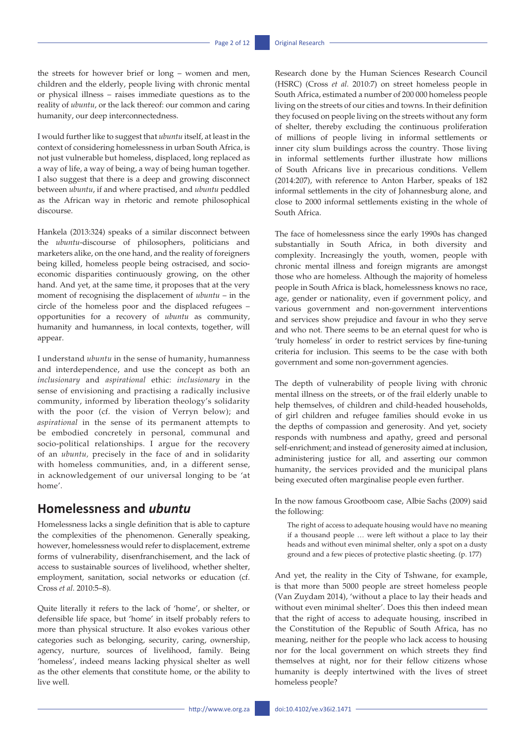the streets for however brief or long – women and men, children and the elderly, people living with chronic mental or physical illness – raises immediate questions as to the reality of *ubuntu*, or the lack thereof: our common and caring humanity, our deep interconnectedness.

I would further like to suggest that *ubuntu* itself, at least in the context of considering homelessness in urban South Africa, is not just vulnerable but homeless, displaced, long replaced as a way of life, a way of being, a way of being human together. I also suggest that there is a deep and growing disconnect between *ubuntu*, if and where practised, and *ubuntu* peddled as the African way in rhetoric and remote philosophical discourse.

Hankela (2013:324) speaks of a similar disconnect between the *ubuntu*-discourse of philosophers, politicians and marketers alike, on the one hand, and the reality of foreigners being killed, homeless people being ostracised, and socioeconomic disparities continuously growing, on the other hand. And yet, at the same time, it proposes that at the very moment of recognising the displacement of *ubuntu* – in the circle of the homeless poor and the displaced refugees – opportunities for a recovery of *ubuntu* as community, humanity and humanness, in local contexts, together, will appear.

I understand *ubuntu* in the sense of humanity, humanness and interdependence, and use the concept as both an *inclusionary* and *aspirational* ethic: *inclusionary* in the sense of envisioning and practising a radically inclusive community, informed by liberation theology's solidarity with the poor (cf. the vision of Verryn below); and *aspirational* in the sense of its permanent attempts to be embodied concretely in personal, communal and socio-political relationships. I argue for the recovery of an *ubuntu,* precisely in the face of and in solidarity with homeless communities, and, in a different sense, in acknowledgement of our universal longing to be 'at home'.

## **Homelessness and** *ubuntu*

Homelessness lacks a single definition that is able to capture the complexities of the phenomenon. Generally speaking, however, homelessness would refer to displacement, extreme forms of vulnerability, disenfranchisement, and the lack of access to sustainable sources of livelihood, whether shelter, employment, sanitation, social networks or education (cf. Cross *et al*. 2010:5–8).

Quite literally it refers to the lack of 'home', or shelter, or defensible life space, but 'home' in itself probably refers to more than physical structure. It also evokes various other categories such as belonging, security, caring, ownership, agency, nurture, sources of livelihood, family. Being 'homeless', indeed means lacking physical shelter as well as the other elements that constitute home, or the ability to live well.

Research done by the Human Sciences Research Council (HSRC) (Cross *et al.* 2010:7) on street homeless people in South Africa, estimated a number of 200 000 homeless people living on the streets of our cities and towns. In their definition they focused on people living on the streets without any form of shelter, thereby excluding the continuous proliferation of millions of people living in informal settlements or inner city slum buildings across the country. Those living in informal settlements further illustrate how millions of South Africans live in precarious conditions. Vellem (2014:207), with reference to Anton Harber, speaks of 182 informal settlements in the city of Johannesburg alone, and close to 2000 informal settlements existing in the whole of South Africa.

The face of homelessness since the early 1990s has changed substantially in South Africa, in both diversity and complexity. Increasingly the youth, women, people with chronic mental illness and foreign migrants are amongst those who are homeless. Although the majority of homeless people in South Africa is black, homelessness knows no race, age, gender or nationality, even if government policy, and various government and non-government interventions and services show prejudice and favour in who they serve and who not. There seems to be an eternal quest for who is 'truly homeless' in order to restrict services by fine-tuning criteria for inclusion. This seems to be the case with both government and some non-government agencies.

The depth of vulnerability of people living with chronic mental illness on the streets, or of the frail elderly unable to help themselves, of children and child-headed households, of girl children and refugee families should evoke in us the depths of compassion and generosity. And yet, society responds with numbness and apathy, greed and personal self-enrichment; and instead of generosity aimed at inclusion, administering justice for all, and asserting our common humanity, the services provided and the municipal plans being executed often marginalise people even further.

In the now famous Grootboom case, Albie Sachs (2009) said the following:

The right of access to adequate housing would have no meaning if a thousand people … were left without a place to lay their heads and without even minimal shelter, only a spot on a dusty ground and a few pieces of protective plastic sheeting. (p. 177)

And yet, the reality in the City of Tshwane, for example, is that more than 5000 people are street homeless people (Van Zuydam 2014), 'without a place to lay their heads and without even minimal shelter'. Does this then indeed mean that the right of access to adequate housing, inscribed in the Constitution of the Republic of South Africa, has no meaning, neither for the people who lack access to housing nor for the local government on which streets they find themselves at night, nor for their fellow citizens whose humanity is deeply intertwined with the lives of street homeless people?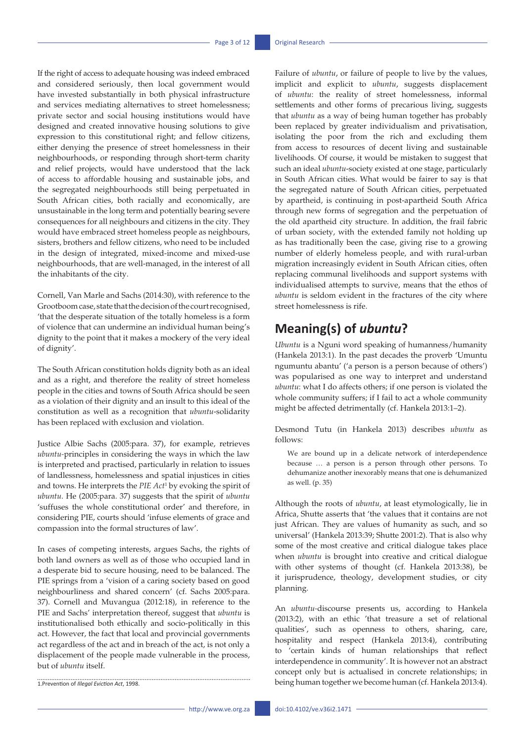If the right of access to adequate housing was indeed embraced and considered seriously, then local government would have invested substantially in both physical infrastructure and services mediating alternatives to street homelessness; private sector and social housing institutions would have designed and created innovative housing solutions to give expression to this constitutional right; and fellow citizens, either denying the presence of street homelessness in their neighbourhoods, or responding through short-term charity and relief projects, would have understood that the lack of access to affordable housing and sustainable jobs, and the segregated neighbourhoods still being perpetuated in South African cities, both racially and economically, are unsustainable in the long term and potentially bearing severe consequences for all neighbours and citizens in the city. They would have embraced street homeless people as neighbours, sisters, brothers and fellow citizens, who need to be included in the design of integrated, mixed-income and mixed-use neighbourhoods, that are well-managed, in the interest of all the inhabitants of the city.

Cornell, Van Marle and Sachs (2014:30), with reference to the Grootboom case, state that the decision of the court recognised, 'that the desperate situation of the totally homeless is a form of violence that can undermine an individual human being's dignity to the point that it makes a mockery of the very ideal of dignity'.

The South African constitution holds dignity both as an ideal and as a right, and therefore the reality of street homeless people in the cities and towns of South Africa should be seen as a violation of their dignity and an insult to this ideal of the constitution as well as a recognition that *ubuntu*-solidarity has been replaced with exclusion and violation.

Justice Albie Sachs (2005:para. 37), for example, retrieves *ubuntu-*principles in considering the ways in which the law is interpreted and practised, particularly in relation to issues of landlessness, homelessness and spatial injustices in cities and towns. He interprets the *PIE Act*<sup>1</sup> by evoking the spirit of *ubuntu*. He (2005:para. 37) suggests that the spirit of *ubuntu*  'suffuses the whole constitutional order' and therefore, in considering PIE, courts should 'infuse elements of grace and compassion into the formal structures of law'.

In cases of competing interests, argues Sachs, the rights of both land owners as well as of those who occupied land in a desperate bid to secure housing, need to be balanced. The PIE springs from a 'vision of a caring society based on good neighbourliness and shared concern' (cf. Sachs 2005:para. 37). Cornell and Muvangua (2012:18), in reference to the PIE and Sachs' interpretation thereof, suggest that *ubuntu* is institutionalised both ethically and socio-politically in this act. However, the fact that local and provincial governments act regardless of the act and in breach of the act, is not only a displacement of the people made vulnerable in the process, but of *ubuntu* itself.

1.Prevention of *Illegal Eviction Act*, 1998.

Failure of *ubuntu*, or failure of people to live by the values, implicit and explicit to *ubuntu*, suggests displacement of *ubuntu*: the reality of street homelessness, informal settlements and other forms of precarious living, suggests that *ubuntu* as a way of being human together has probably been replaced by greater individualism and privatisation, isolating the poor from the rich and excluding them from access to resources of decent living and sustainable livelihoods. Of course, it would be mistaken to suggest that such an ideal *ubuntu*-society existed at one stage, particularly in South African cities. What would be fairer to say is that the segregated nature of South African cities, perpetuated by apartheid, is continuing in post-apartheid South Africa through new forms of segregation and the perpetuation of the old apartheid city structure. In addition, the frail fabric of urban society, with the extended family not holding up as has traditionally been the case, giving rise to a growing number of elderly homeless people, and with rural-urban migration increasingly evident in South African cities, often replacing communal livelihoods and support systems with individualised attempts to survive, means that the ethos of *ubuntu* is seldom evident in the fractures of the city where street homelessness is rife.

## **Meaning(s) of** *ubuntu***?**

*Ubuntu* is a Nguni word speaking of humanness/humanity (Hankela 2013:1). In the past decades the proverb 'Umuntu ngumuntu abantu' ('a person is a person because of others') was popularised as one way to interpret and understand *ubuntu*: what I do affects others; if one person is violated the whole community suffers; if I fail to act a whole community might be affected detrimentally (cf. Hankela 2013:1–2).

Desmond Tutu (in Hankela 2013) describes *ubuntu* as follows:

We are bound up in a delicate network of interdependence because … a person is a person through other persons. To dehumanize another inexorably means that one is dehumanized as well. (p. 35)

Although the roots of *ubuntu*, at least etymologically, lie in Africa, Shutte asserts that 'the values that it contains are not just African. They are values of humanity as such, and so universal' (Hankela 2013:39; Shutte 2001:2). That is also why some of the most creative and critical dialogue takes place when *ubuntu* is brought into creative and critical dialogue with other systems of thought (cf. Hankela 2013:38), be it jurisprudence, theology, development studies, or city planning.

An *ubuntu-*discourse presents us, according to Hankela (2013:2), with an ethic 'that treasure a set of relational qualities', such as openness to others, sharing, care, hospitality and respect (Hankela 2013:4), contributing to 'certain kinds of human relationships that reflect interdependence in community'. It is however not an abstract concept only but is actualised in concrete relationships; in being human together we become human (cf. Hankela 2013:4).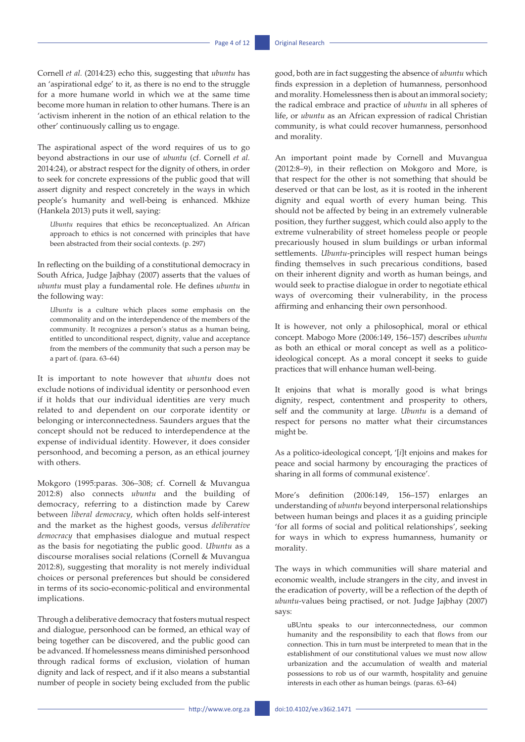Cornell *et al.* (2014:23) echo this, suggesting that *ubuntu* has an 'aspirational edge' to it, as there is no end to the struggle for a more humane world in which we at the same time become more human in relation to other humans. There is an 'activism inherent in the notion of an ethical relation to the other' continuously calling us to engage.

The aspirational aspect of the word requires of us to go beyond abstractions in our use of *ubuntu* (cf. Cornell *et al.*  2014:24), or abstract respect for the dignity of others, in order to seek for concrete expressions of the public good that will assert dignity and respect concretely in the ways in which people's humanity and well-being is enhanced. Mkhize (Hankela 2013) puts it well, saying:

*Ubuntu* requires that ethics be reconceptualized. An African approach to ethics is not concerned with principles that have been abstracted from their social contexts. (p. 297)

In reflecting on the building of a constitutional democracy in South Africa, Judge Jajbhay (2007) asserts that the values of *ubuntu* must play a fundamental role. He defines *ubuntu* in the following way:

*Ubuntu* is a culture which places some emphasis on the commonality and on the interdependence of the members of the community. It recognizes a person's status as a human being, entitled to unconditional respect, dignity, value and acceptance from the members of the community that such a person may be a part of. (para. 63–64)

It is important to note however that *ubuntu* does not exclude notions of individual identity or personhood even if it holds that our individual identities are very much related to and dependent on our corporate identity or belonging or interconnectedness. Saunders argues that the concept should not be reduced to interdependence at the expense of individual identity. However, it does consider personhood, and becoming a person, as an ethical journey with others.

Mokgoro (1995:paras. 306–308; cf. Cornell & Muvangua 2012:8) also connects *ubuntu* and the building of democracy, referring to a distinction made by Carew between *liberal democracy*, which often holds self-interest and the market as the highest goods, versus *deliberative democracy* that emphasises dialogue and mutual respect as the basis for negotiating the public good. *Ubuntu* as a discourse moralises social relations (Cornell & Muvangua 2012:8), suggesting that morality is not merely individual choices or personal preferences but should be considered in terms of its socio-economic-political and environmental implications.

Through a deliberative democracy that fosters mutual respect and dialogue, personhood can be formed, an ethical way of being together can be discovered, and the public good can be advanced. If homelessness means diminished personhood through radical forms of exclusion, violation of human dignity and lack of respect, and if it also means a substantial number of people in society being excluded from the public good, both are in fact suggesting the absence of *ubuntu* which finds expression in a depletion of humanness, personhood and morality. Homelessness then is about an immoral society; the radical embrace and practice of *ubuntu* in all spheres of life, or *ubuntu* as an African expression of radical Christian community, is what could recover humanness, personhood and morality.

An important point made by Cornell and Muvangua (2012:8–9), in their reflection on Mokgoro and More, is that respect for the other is not something that should be deserved or that can be lost, as it is rooted in the inherent dignity and equal worth of every human being. This should not be affected by being in an extremely vulnerable position, they further suggest, which could also apply to the extreme vulnerability of street homeless people or people precariously housed in slum buildings or urban informal settlements. *Ubuntu*-principles will respect human beings finding themselves in such precarious conditions, based on their inherent dignity and worth as human beings, and would seek to practise dialogue in order to negotiate ethical ways of overcoming their vulnerability, in the process affirming and enhancing their own personhood.

It is however, not only a philosophical, moral or ethical concept. Mabogo More (2006:149, 156–157) describes *ubuntu* as both an ethical or moral concept as well as a politicoideological concept. As a moral concept it seeks to guide practices that will enhance human well-being.

It enjoins that what is morally good is what brings dignity, respect, contentment and prosperity to others, self and the community at large. *Ubuntu* is a demand of respect for persons no matter what their circumstances might be.

As a politico-ideological concept, '[*i*]t enjoins and makes for peace and social harmony by encouraging the practices of sharing in all forms of communal existence'.

More's definition (2006:149, 156–157) enlarges an understanding of *ubuntu* beyond interpersonal relationships between human beings and places it as a guiding principle 'for all forms of social and political relationships', seeking for ways in which to express humanness, humanity or morality.

The ways in which communities will share material and economic wealth, include strangers in the city, and invest in the eradication of poverty, will be a reflection of the depth of *ubuntu*-values being practised, or not. Judge Jajbhay (2007) says:

uBUntu speaks to our interconnectedness, our common humanity and the responsibility to each that flows from our connection. This in turn must be interpreted to mean that in the establishment of our constitutional values we must now allow urbanization and the accumulation of wealth and material possessions to rob us of our warmth, hospitality and genuine interests in each other as human beings. (paras. 63–64)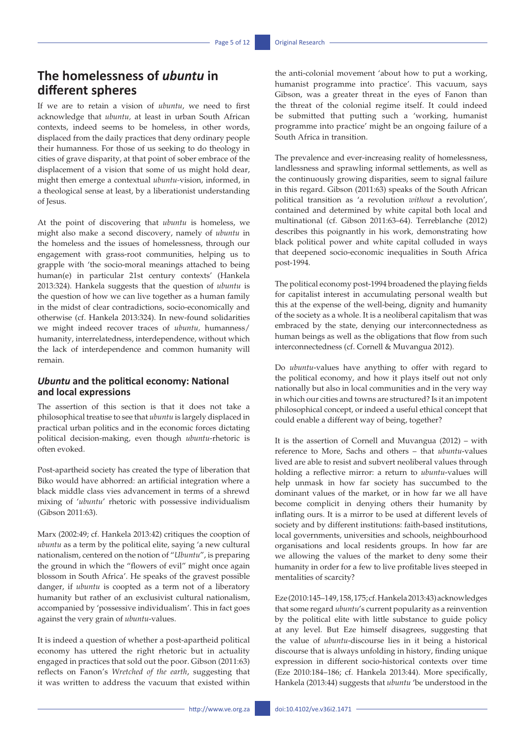## **The homelessness of** *ubuntu* **in different spheres**

If we are to retain a vision of *ubuntu*, we need to first acknowledge that *ubuntu,* at least in urban South African contexts, indeed seems to be homeless, in other words, displaced from the daily practices that deny ordinary people their humanness. For those of us seeking to do theology in cities of grave disparity, at that point of sober embrace of the displacement of a vision that some of us might hold dear, might then emerge a contextual *ubuntu-*vision, informed, in a theological sense at least, by a liberationist understanding of Jesus.

At the point of discovering that *ubuntu* is homeless, we might also make a second discovery, namely of *ubuntu* in the homeless and the issues of homelessness, through our engagement with grass-root communities, helping us to grapple with 'the socio-moral meanings attached to being human(e) in particular 21st century contexts' (Hankela 2013:324). Hankela suggests that the question of *ubuntu* is the question of how we can live together as a human family in the midst of clear contradictions, socio-economically and otherwise (cf. Hankela 2013:324). In new-found solidarities we might indeed recover traces of *ubuntu,* humanness/ humanity, interrelatedness, interdependence, without which the lack of interdependence and common humanity will remain.

### *Ubuntu* **and the political economy: National and local expressions**

The assertion of this section is that it does not take a philosophical treatise to see that *ubuntu* is largely displaced in practical urban politics and in the economic forces dictating political decision-making, even though *ubuntu*-rhetoric is often evoked.

Post-apartheid society has created the type of liberation that Biko would have abhorred: an artificial integration where a black middle class vies advancement in terms of a shrewd mixing of '*ubuntu*' rhetoric with possessive individualism (Gibson 2011:63).

Marx (2002:49; cf. Hankela 2013:42) critiques the cooption of *ubuntu* as a term by the political elite, saying 'a new cultural nationalism, centered on the notion of "*Ubuntu*", is preparing the ground in which the "flowers of evil" might once again blossom in South Africa'. He speaks of the gravest possible danger, if *ubuntu* is coopted as a term not of a liberatory humanity but rather of an exclusivist cultural nationalism, accompanied by 'possessive individualism'. This in fact goes against the very grain of *ubuntu*-values.

It is indeed a question of whether a post-apartheid political economy has uttered the right rhetoric but in actuality engaged in practices that sold out the poor. Gibson (2011:63) reflects on Fanon's *Wretched of the earth*, suggesting that it was written to address the vacuum that existed within the anti-colonial movement 'about how to put a working, humanist programme into practice'. This vacuum, says Gibson, was a greater threat in the eyes of Fanon than the threat of the colonial regime itself. It could indeed be submitted that putting such a 'working, humanist programme into practice' might be an ongoing failure of a South Africa in transition.

The prevalence and ever-increasing reality of homelessness, landlessness and sprawling informal settlements, as well as the continuously growing disparities, seem to signal failure in this regard. Gibson (2011:63) speaks of the South African political transition as 'a revolution *without* a revolution', contained and determined by white capital both local and multinational (cf. Gibson 2011:63–64). Terreblanche (2012) describes this poignantly in his work, demonstrating how black political power and white capital colluded in ways that deepened socio-economic inequalities in South Africa post-1994.

The political economy post-1994 broadened the playing fields for capitalist interest in accumulating personal wealth but this at the expense of the well-being, dignity and humanity of the society as a whole. It is a neoliberal capitalism that was embraced by the state, denying our interconnectedness as human beings as well as the obligations that flow from such interconnectedness (cf. Cornell & Muvangua 2012).

Do *ubuntu*-values have anything to offer with regard to the political economy, and how it plays itself out not only nationally but also in local communities and in the very way in which our cities and towns are structured? Is it an impotent philosophical concept, or indeed a useful ethical concept that could enable a different way of being, together?

It is the assertion of Cornell and Muvangua (2012) – with reference to More, Sachs and others – that *ubuntu*-values lived are able to resist and subvert neoliberal values through holding a reflective mirror: a return to *ubuntu*-values will help unmask in how far society has succumbed to the dominant values of the market, or in how far we all have become complicit in denying others their humanity by inflating ours. It is a mirror to be used at different levels of society and by different institutions: faith-based institutions, local governments, universities and schools, neighbourhood organisations and local residents groups. In how far are we allowing the values of the market to deny some their humanity in order for a few to live profitable lives steeped in mentalities of scarcity?

Eze (2010:145–149, 158, 175; cf. Hankela 2013:43) acknowledges that some regard *ubuntu*'s current popularity as a reinvention by the political elite with little substance to guide policy at any level. But Eze himself disagrees, suggesting that the value of *ubuntu*-discourse lies in it being a historical discourse that is always unfolding in history, finding unique expression in different socio-historical contexts over time (Eze 2010:184–186; cf. Hankela 2013:44). More specifically, Hankela (2013:44) suggests that *ubuntu* 'be understood in the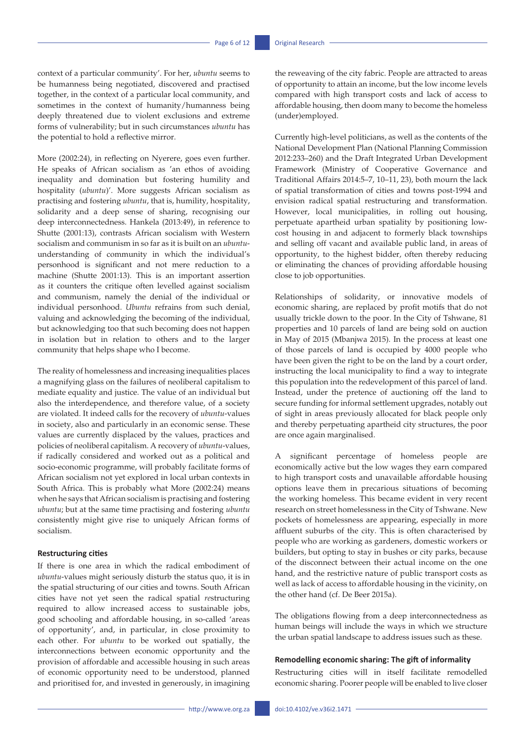context of a particular community'. For her, *ubuntu* seems to be humanness being negotiated, discovered and practised together, in the context of a particular local community, and sometimes in the context of humanity/humanness being deeply threatened due to violent exclusions and extreme forms of vulnerability; but in such circumstances *ubuntu* has the potential to hold a reflective mirror.

More (2002:24), in reflecting on Nyerere, goes even further. He speaks of African socialism as 'an ethos of avoiding inequality and domination but fostering humility and hospitality (*ubuntu*)'. More suggests African socialism as practising and fostering *ubuntu*, that is, humility, hospitality, solidarity and a deep sense of sharing, recognising our deep interconnectedness. Hankela (2013:49), in reference to Shutte (2001:13), contrasts African socialism with Western socialism and communism in so far as it is built on an *ubuntu*understanding of community in which the individual's personhood is significant and not mere reduction to a machine (Shutte 2001:13). This is an important assertion as it counters the critique often levelled against socialism and communism, namely the denial of the individual or individual personhood. *Ubuntu* refrains from such denial, valuing and acknowledging the becoming of the individual, but acknowledging too that such becoming does not happen in isolation but in relation to others and to the larger community that helps shape who I become.

The reality of homelessness and increasing inequalities places a magnifying glass on the failures of neoliberal capitalism to mediate equality and justice. The value of an individual but also the interdependence, and therefore value, of a society are violated. It indeed calls for the recovery of *ubuntu*-values in society, also and particularly in an economic sense. These values are currently displaced by the values, practices and policies of neoliberal capitalism. A recovery of *ubuntu*-values, if radically considered and worked out as a political and socio-economic programme, will probably facilitate forms of African socialism not yet explored in local urban contexts in South Africa. This is probably what More (2002:24) means when he says that African socialism is practising and fostering *ubuntu*; but at the same time practising and fostering *ubuntu* consistently might give rise to uniquely African forms of socialism.

### **Restructuring cities**

If there is one area in which the radical embodiment of *ubuntu*-values might seriously disturb the status quo, it is in the spatial structuring of our cities and towns. South African cities have not yet seen the radical spatial *re*structuring required to allow increased access to sustainable jobs, good schooling and affordable housing, in so-called 'areas of opportunity', and, in particular, in close proximity to each other. For *ubuntu* to be worked out spatially, the interconnections between economic opportunity and the provision of affordable and accessible housing in such areas of economic opportunity need to be understood, planned and prioritised for, and invested in generously, in imagining

the reweaving of the city fabric. People are attracted to areas of opportunity to attain an income, but the low income levels compared with high transport costs and lack of access to affordable housing, then doom many to become the homeless (under)employed.

Currently high-level politicians, as well as the contents of the National Development Plan (National Planning Commission 2012:233–260) and the Draft Integrated Urban Development Framework (Ministry of Cooperative Governance and Traditional Affairs 2014:5–7, 10–11, 23), both mourn the lack of spatial transformation of cities and towns post-1994 and envision radical spatial restructuring and transformation. However, local municipalities, in rolling out housing, perpetuate apartheid urban spatiality by positioning lowcost housing in and adjacent to formerly black townships and selling off vacant and available public land, in areas of opportunity, to the highest bidder, often thereby reducing or eliminating the chances of providing affordable housing close to job opportunities.

Relationships of solidarity, or innovative models of economic sharing, are replaced by profit motifs that do not usually trickle down to the poor. In the City of Tshwane, 81 properties and 10 parcels of land are being sold on auction in May of 2015 (Mbanjwa 2015). In the process at least one of those parcels of land is occupied by 4000 people who have been given the right to be on the land by a court order, instructing the local municipality to find a way to integrate this population into the redevelopment of this parcel of land. Instead, under the pretence of auctioning off the land to secure funding for informal settlement upgrades, notably out of sight in areas previously allocated for black people only and thereby perpetuating apartheid city structures, the poor are once again marginalised.

A significant percentage of homeless people are economically active but the low wages they earn compared to high transport costs and unavailable affordable housing options leave them in precarious situations of becoming the working homeless. This became evident in very recent research on street homelessness in the City of Tshwane. New pockets of homelessness are appearing, especially in more affluent suburbs of the city. This is often characterised by people who are working as gardeners, domestic workers or builders, but opting to stay in bushes or city parks, because of the disconnect between their actual income on the one hand, and the restrictive nature of public transport costs as well as lack of access to affordable housing in the vicinity, on the other hand (cf. De Beer 2015a).

The obligations flowing from a deep interconnectedness as human beings will include the ways in which we structure the urban spatial landscape to address issues such as these.

### **Remodelling economic sharing: The gift of informality**

Restructuring cities will in itself facilitate remodelled economic sharing. Poorer people will be enabled to live closer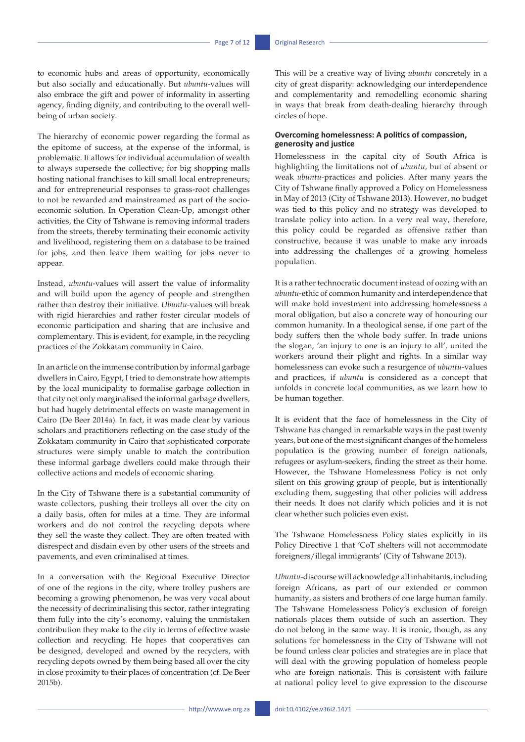to economic hubs and areas of opportunity, economically but also socially and educationally. But *ubuntu*-values will also embrace the gift and power of informality in asserting agency, finding dignity, and contributing to the overall wellbeing of urban society.

The hierarchy of economic power regarding the formal as the epitome of success, at the expense of the informal, is problematic. It allows for individual accumulation of wealth to always supersede the collective; for big shopping malls hosting national franchises to kill small local entrepreneurs; and for entrepreneurial responses to grass-root challenges to not be rewarded and mainstreamed as part of the socioeconomic solution. In Operation Clean-Up, amongst other activities, the City of Tshwane is removing informal traders from the streets, thereby terminating their economic activity and livelihood, registering them on a database to be trained for jobs, and then leave them waiting for jobs never to appear.

Instead, *ubuntu*-values will assert the value of informality and will build upon the agency of people and strengthen rather than destroy their initiative. *Ubuntu-*values will break with rigid hierarchies and rather foster circular models of economic participation and sharing that are inclusive and complementary. This is evident, for example, in the recycling practices of the Zokkatam community in Cairo.

In an article on the immense contribution by informal garbage dwellers in Cairo, Egypt, I tried to demonstrate how attempts by the local municipality to formalise garbage collection in that city not only marginalised the informal garbage dwellers, but had hugely detrimental effects on waste management in Cairo (De Beer 2014a). In fact, it was made clear by various scholars and practitioners reflecting on the case study of the Zokkatam community in Cairo that sophisticated corporate structures were simply unable to match the contribution these informal garbage dwellers could make through their collective actions and models of economic sharing.

In the City of Tshwane there is a substantial community of waste collectors, pushing their trolleys all over the city on a daily basis, often for miles at a time. They are informal workers and do not control the recycling depots where they sell the waste they collect. They are often treated with disrespect and disdain even by other users of the streets and pavements, and even criminalised at times.

In a conversation with the Regional Executive Director of one of the regions in the city, where trolley pushers are becoming a growing phenomenon, he was very vocal about the necessity of decriminalising this sector, rather integrating them fully into the city's economy, valuing the unmistaken contribution they make to the city in terms of effective waste collection and recycling. He hopes that cooperatives can be designed, developed and owned by the recyclers, with recycling depots owned by them being based all over the city in close proximity to their places of concentration (cf. De Beer 2015b).

This will be a creative way of living *ubuntu* concretely in a city of great disparity: acknowledging our interdependence and complementarity and remodelling economic sharing in ways that break from death-dealing hierarchy through circles of hope.

### **Overcoming homelessness: A politics of compassion, generosity and justice**

Homelessness in the capital city of South Africa is highlighting the limitations not of *ubuntu*, but of absent or weak *ubuntu-*practices and policies. After many years the City of Tshwane finally approved a Policy on Homelessness in May of 2013 (City of Tshwane 2013). However, no budget was tied to this policy and no strategy was developed to translate policy into action. In a very real way, therefore, this policy could be regarded as offensive rather than constructive, because it was unable to make any inroads into addressing the challenges of a growing homeless population.

It is a rather technocratic document instead of oozing with an *ubuntu*-ethic of common humanity and interdependence that will make bold investment into addressing homelessness a moral obligation, but also a concrete way of honouring our common humanity. In a theological sense, if one part of the body suffers then the whole body suffer. In trade unions the slogan, 'an injury to one is an injury to all', united the workers around their plight and rights. In a similar way homelessness can evoke such a resurgence of *ubuntu*-values and practices, if *ubuntu* is considered as a concept that unfolds in concrete local communities, as we learn how to be human together.

It is evident that the face of homelessness in the City of Tshwane has changed in remarkable ways in the past twenty years, but one of the most significant changes of the homeless population is the growing number of foreign nationals, refugees or asylum-seekers, finding the street as their home. However, the Tshwane Homelessness Policy is not only silent on this growing group of people, but is intentionally excluding them, suggesting that other policies will address their needs. It does not clarify which policies and it is not clear whether such policies even exist.

The Tshwane Homelessness Policy states explicitly in its Policy Directive 1 that 'CoT shelters will not accommodate foreigners/illegal immigrants' (City of Tshwane 2013).

*Ubuntu*-discourse will acknowledge all inhabitants, including foreign Africans, as part of our extended or common humanity, as sisters and brothers of one large human family. The Tshwane Homelessness Policy's exclusion of foreign nationals places them outside of such an assertion. They do not belong in the same way. It is ironic, though, as any solutions for homelessness in the City of Tshwane will not be found unless clear policies and strategies are in place that will deal with the growing population of homeless people who are foreign nationals. This is consistent with failure at national policy level to give expression to the discourse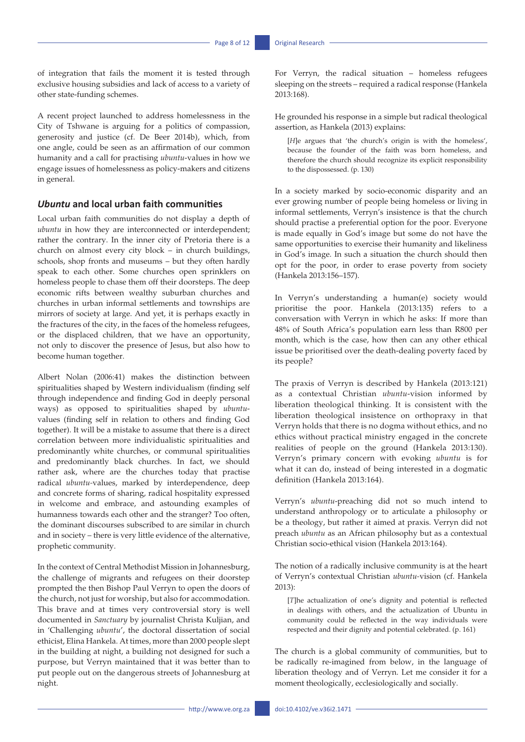of integration that fails the moment it is tested through exclusive housing subsidies and lack of access to a variety of other state-funding schemes.

A recent project launched to address homelessness in the City of Tshwane is arguing for a politics of compassion, generosity and justice (cf. De Beer 2014b), which, from one angle, could be seen as an affirmation of our common humanity and a call for practising *ubuntu*-values in how we engage issues of homelessness as policy-makers and citizens in general.

### *Ubuntu* **and local urban faith communities**

Local urban faith communities do not display a depth of *ubuntu* in how they are interconnected or interdependent; rather the contrary. In the inner city of Pretoria there is a church on almost every city block – in church buildings, schools, shop fronts and museums – but they often hardly speak to each other. Some churches open sprinklers on homeless people to chase them off their doorsteps. The deep economic rifts between wealthy suburban churches and churches in urban informal settlements and townships are mirrors of society at large. And yet, it is perhaps exactly in the fractures of the city, in the faces of the homeless refugees, or the displaced children, that we have an opportunity, not only to discover the presence of Jesus, but also how to become human together.

Albert Nolan (2006:41) makes the distinction between spiritualities shaped by Western individualism (finding self through independence and finding God in deeply personal ways) as opposed to spiritualities shaped by *ubuntu*values (finding self in relation to others and finding God together). It will be a mistake to assume that there is a direct correlation between more individualistic spiritualities and predominantly white churches, or communal spiritualities and predominantly black churches. In fact, we should rather ask, where are the churches today that practise radical *ubuntu-*values, marked by interdependence, deep and concrete forms of sharing, radical hospitality expressed in welcome and embrace, and astounding examples of humanness towards each other and the stranger? Too often, the dominant discourses subscribed to are similar in church and in society – there is very little evidence of the alternative, prophetic community.

In the context of Central Methodist Mission in Johannesburg, the challenge of migrants and refugees on their doorstep prompted the then Bishop Paul Verryn to open the doors of the church, not just for worship, but also for accommodation. This brave and at times very controversial story is well documented in *Sanctuary* by journalist Christa Kuljian, and in 'Challenging *ubuntu*', the doctoral dissertation of social ethicist, Elina Hankela. At times, more than 2000 people slept in the building at night, a building not designed for such a purpose, but Verryn maintained that it was better than to put people out on the dangerous streets of Johannesburg at night.

For Verryn, the radical situation – homeless refugees sleeping on the streets – required a radical response (Hankela 2013:168).

He grounded his response in a simple but radical theological assertion, as Hankela (2013) explains:

[*H*]e argues that 'the church's origin is with the homeless', because the founder of the faith was born homeless, and therefore the church should recognize its explicit responsibility to the dispossessed. (p. 130)

In a society marked by socio-economic disparity and an ever growing number of people being homeless or living in informal settlements, Verryn's insistence is that the church should practise a preferential option for the poor. Everyone is made equally in God's image but some do not have the same opportunities to exercise their humanity and likeliness in God's image. In such a situation the church should then opt for the poor, in order to erase poverty from society (Hankela 2013:156–157).

In Verryn's understanding a human(e) society would prioritise the poor. Hankela (2013:135) refers to a conversation with Verryn in which he asks: If more than 48% of South Africa's population earn less than R800 per month, which is the case, how then can any other ethical issue be prioritised over the death-dealing poverty faced by its people?

The praxis of Verryn is described by Hankela (2013:121) as a contextual Christian *ubuntu*-vision informed by liberation theological thinking. It is consistent with the liberation theological insistence on orthopraxy in that Verryn holds that there is no dogma without ethics, and no ethics without practical ministry engaged in the concrete realities of people on the ground (Hankela 2013:130). Verryn's primary concern with evoking *ubuntu* is for what it can do, instead of being interested in a dogmatic definition (Hankela 2013:164).

Verryn's *ubuntu*-preaching did not so much intend to understand anthropology or to articulate a philosophy or be a theology, but rather it aimed at praxis. Verryn did not preach *ubuntu* as an African philosophy but as a contextual Christian socio-ethical vision (Hankela 2013:164).

The notion of a radically inclusive community is at the heart of Verryn's contextual Christian *ubuntu-*vision (cf. Hankela 2013):

[*T*]he actualization of one's dignity and potential is reflected in dealings with others, and the actualization of Ubuntu in community could be reflected in the way individuals were respected and their dignity and potential celebrated. (p. 161)

The church is a global community of communities, but to be radically re-imagined from below, in the language of liberation theology and of Verryn. Let me consider it for a moment theologically, ecclesiologically and socially.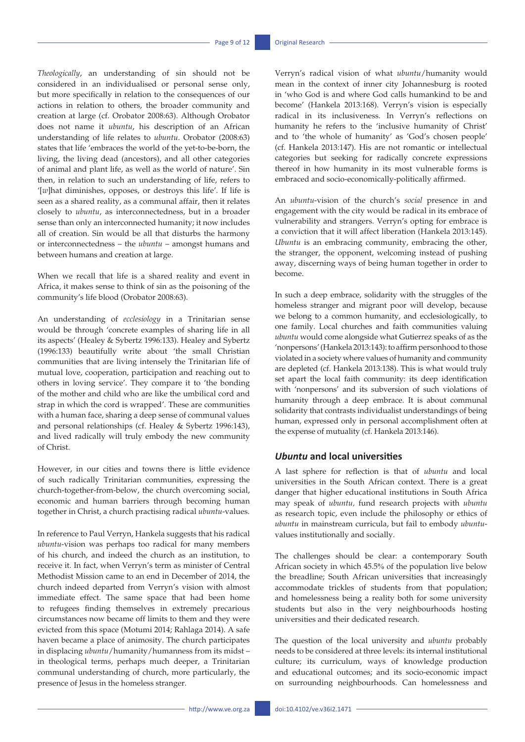*Theologically*, an understanding of sin should not be considered in an individualised or personal sense only, but more specifically in relation to the consequences of our actions in relation to others, the broader community and creation at large (cf. Orobator 2008:63). Although Orobator does not name it *ubuntu*, his description of an African understanding of life relates to *ubuntu*. Orobator (2008:63) states that life 'embraces the world of the yet-to-be-born, the living, the living dead (ancestors), and all other categories of animal and plant life, as well as the world of nature'. Sin then, in relation to such an understanding of life, refers to '[*w*]hat diminishes, opposes, or destroys this life'. If life is seen as a shared reality, as a communal affair, then it relates closely to *ubuntu*, as interconnectedness, but in a broader sense than only an interconnected humanity; it now includes all of creation. Sin would be all that disturbs the harmony or interconnectedness – the *ubuntu* – amongst humans and between humans and creation at large.

When we recall that life is a shared reality and event in Africa, it makes sense to think of sin as the poisoning of the community's life blood (Orobator 2008:63).

An understanding of *ecclesiology* in a Trinitarian sense would be through 'concrete examples of sharing life in all its aspects' (Healey & Sybertz 1996:133). Healey and Sybertz (1996:133) beautifully write about 'the small Christian communities that are living intensely the Trinitarian life of mutual love, cooperation, participation and reaching out to others in loving service'. They compare it to 'the bonding of the mother and child who are like the umbilical cord and strap in which the cord is wrapped'. These are communities with a human face, sharing a deep sense of communal values and personal relationships (cf. Healey & Sybertz 1996:143), and lived radically will truly embody the new community of Christ.

However, in our cities and towns there is little evidence of such radically Trinitarian communities, expressing the church-together-from-below, the church overcoming social, economic and human barriers through becoming human together in Christ, a church practising radical *ubuntu*-values.

In reference to Paul Verryn, Hankela suggests that his radical *ubuntu*-vision was perhaps too radical for many members of his church, and indeed the church as an institution, to receive it. In fact, when Verryn's term as minister of Central Methodist Mission came to an end in December of 2014, the church indeed departed from Verryn's vision with almost immediate effect. The same space that had been home to refugees finding themselves in extremely precarious circumstances now became off limits to them and they were evicted from this space (Motumi 2014; Rahlaga 2014). A safe haven became a place of animosity. The church participates in displacing *ubuntu*/humanity/humanness from its midst – in theological terms, perhaps much deeper, a Trinitarian communal understanding of church, more particularly, the presence of Jesus in the homeless stranger.

Verryn's radical vision of what *ubuntu*/humanity would mean in the context of inner city Johannesburg is rooted in 'who God is and where God calls humankind to be and become' (Hankela 2013:168). Verryn's vision is especially radical in its inclusiveness. In Verryn's reflections on humanity he refers to the 'inclusive humanity of Christ' and to 'the whole of humanity' as 'God's chosen people' (cf. Hankela 2013:147). His are not romantic or intellectual categories but seeking for radically concrete expressions thereof in how humanity in its most vulnerable forms is embraced and socio-economically-politically affirmed.

An *ubuntu*-vision of the church's *social* presence in and engagement with the city would be radical in its embrace of vulnerability and strangers. Verryn's opting for embrace is a conviction that it will affect liberation (Hankela 2013:145). *Ubuntu* is an embracing community, embracing the other, the stranger, the opponent, welcoming instead of pushing away, discerning ways of being human together in order to become.

In such a deep embrace, solidarity with the struggles of the homeless stranger and migrant poor will develop, because we belong to a common humanity, and ecclesiologically, to one family. Local churches and faith communities valuing *ubuntu* would come alongside what Gutierrez speaks of as the 'nonpersons' (Hankela 2013:143): to affirm personhood to those violated in a society where values of humanity and community are depleted (cf. Hankela 2013:138). This is what would truly set apart the local faith community: its deep identification with 'nonpersons' and its subversion of such violations of humanity through a deep embrace. It is about communal solidarity that contrasts individualist understandings of being human, expressed only in personal accomplishment often at the expense of mutuality (cf. Hankela 2013:146).

### *Ubuntu* **and local universities**

A last sphere for reflection is that of *ubuntu* and local universities in the South African context. There is a great danger that higher educational institutions in South Africa may speak of *ubuntu,* fund research projects with *ubuntu* as research topic, even include the philosophy or ethics of *ubuntu* in mainstream curricula, but fail to embody *ubuntu*values institutionally and socially.

The challenges should be clear: a contemporary South African society in which 45.5% of the population live below the breadline; South African universities that increasingly accommodate trickles of students from that population; and homelessness being a reality both for some university students but also in the very neighbourhoods hosting universities and their dedicated research.

The question of the local university and *ubuntu* probably needs to be considered at three levels: its internal institutional culture; its curriculum, ways of knowledge production and educational outcomes; and its socio-economic impact on surrounding neighbourhoods. Can homelessness and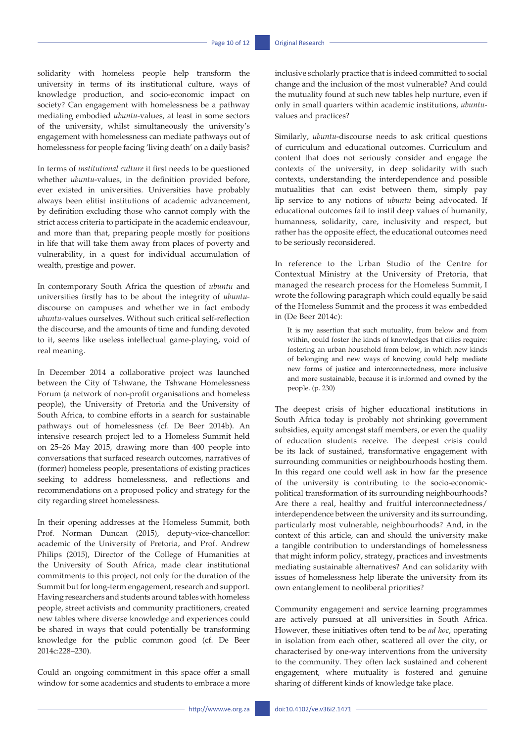solidarity with homeless people help transform the university in terms of its institutional culture, ways of knowledge production, and socio-economic impact on society? Can engagement with homelessness be a pathway mediating embodied *ubuntu*-values, at least in some sectors of the university, whilst simultaneously the university's engagement with homelessness can mediate pathways out of homelessness for people facing 'living death' on a daily basis?

In terms of *institutional culture* it first needs to be questioned whether *ubuntu*-values, in the definition provided before, ever existed in universities. Universities have probably always been elitist institutions of academic advancement, by definition excluding those who cannot comply with the strict access criteria to participate in the academic endeavour, and more than that, preparing people mostly for positions in life that will take them away from places of poverty and vulnerability, in a quest for individual accumulation of wealth, prestige and power.

In contemporary South Africa the question of *ubuntu* and universities firstly has to be about the integrity of *ubuntu*discourse on campuses and whether we in fact embody *ubuntu-*values ourselves. Without such critical self-reflection the discourse, and the amounts of time and funding devoted to it, seems like useless intellectual game-playing, void of real meaning.

In December 2014 a collaborative project was launched between the City of Tshwane, the Tshwane Homelessness Forum (a network of non-profit organisations and homeless people), the University of Pretoria and the University of South Africa, to combine efforts in a search for sustainable pathways out of homelessness (cf. De Beer 2014b). An intensive research project led to a Homeless Summit held on 25–26 May 2015, drawing more than 400 people into conversations that surfaced research outcomes, narratives of (former) homeless people, presentations of existing practices seeking to address homelessness, and reflections and recommendations on a proposed policy and strategy for the city regarding street homelessness.

In their opening addresses at the Homeless Summit, both Prof. Norman Duncan (2015), deputy-vice-chancellor: academic of the University of Pretoria, and Prof. Andrew Philips (2015), Director of the College of Humanities at the University of South Africa, made clear institutional commitments to this project, not only for the duration of the Summit but for long-term engagement, research and support. Having researchers and students around tables with homeless people, street activists and community practitioners, created new tables where diverse knowledge and experiences could be shared in ways that could potentially be transforming knowledge for the public common good (cf. De Beer 2014c:228–230).

Could an ongoing commitment in this space offer a small window for some academics and students to embrace a more inclusive scholarly practice that is indeed committed to social change and the inclusion of the most vulnerable? And could the mutuality found at such new tables help nurture, even if only in small quarters within academic institutions, *ubuntu*values and practices?

Similarly, *ubuntu*-discourse needs to ask critical questions of curriculum and educational outcomes. Curriculum and content that does not seriously consider and engage the contexts of the university, in deep solidarity with such contexts, understanding the interdependence and possible mutualities that can exist between them, simply pay lip service to any notions of *ubuntu* being advocated. If educational outcomes fail to instil deep values of humanity, humanness, solidarity, care, inclusivity and respect, but rather has the opposite effect, the educational outcomes need to be seriously reconsidered.

In reference to the Urban Studio of the Centre for Contextual Ministry at the University of Pretoria, that managed the research process for the Homeless Summit, I wrote the following paragraph which could equally be said of the Homeless Summit and the process it was embedded in (De Beer 2014c):

It is my assertion that such mutuality, from below and from within, could foster the kinds of knowledges that cities require: fostering an urban household from below, in which new kinds of belonging and new ways of knowing could help mediate new forms of justice and interconnectedness, more inclusive and more sustainable, because it is informed and owned by the people. (p. 230)

The deepest crisis of higher educational institutions in South Africa today is probably not shrinking government subsidies, equity amongst staff members, or even the quality of education students receive. The deepest crisis could be its lack of sustained, transformative engagement with surrounding communities or neighbourhoods hosting them. In this regard one could well ask in how far the presence of the university is contributing to the socio-economicpolitical transformation of its surrounding neighbourhoods? Are there a real, healthy and fruitful interconnectedness/ interdependence between the university and its surrounding, particularly most vulnerable, neighbourhoods? And, in the context of this article, can and should the university make a tangible contribution to understandings of homelessness that might inform policy, strategy, practices and investments mediating sustainable alternatives? And can solidarity with issues of homelessness help liberate the university from its own entanglement to neoliberal priorities?

Community engagement and service learning programmes are actively pursued at all universities in South Africa. However, these initiatives often tend to be *ad hoc*, operating in isolation from each other, scattered all over the city, or characterised by one-way interventions from the university to the community. They often lack sustained and coherent engagement, where mutuality is fostered and genuine sharing of different kinds of knowledge take place.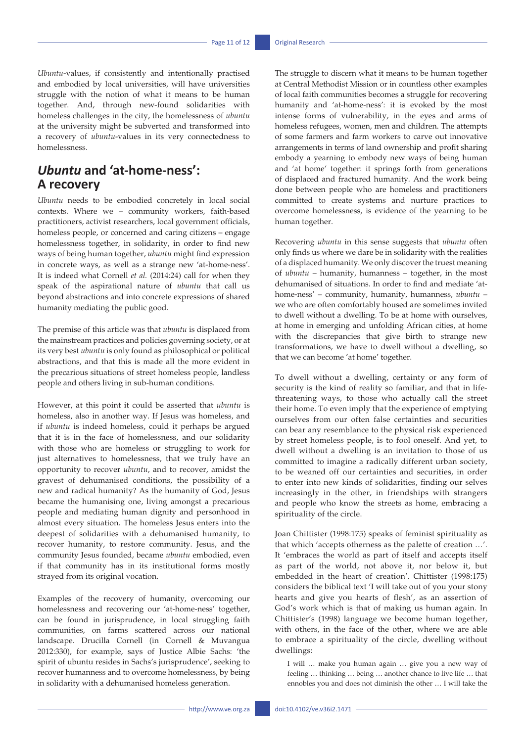*Ubuntu*-values, if consistently and intentionally practised and embodied by local universities, will have universities struggle with the notion of what it means to be human together. And, through new-found solidarities with homeless challenges in the city, the homelessness of *ubuntu* at the university might be subverted and transformed into a recovery of *ubuntu*-values in its very connectedness to homelessness.

## *Ubuntu* **and 'at-home-ness': A recovery**

*Ubuntu* needs to be embodied concretely in local social contexts. Where we – community workers, faith-based practitioners, activist researchers, local government officials, homeless people, or concerned and caring citizens – engage homelessness together, in solidarity, in order to find new ways of being human together, *ubuntu* might find expression in concrete ways, as well as a strange new 'at-home-ness'. It is indeed what Cornell *et al.* (2014:24) call for when they speak of the aspirational nature of *ubuntu* that call us beyond abstractions and into concrete expressions of shared humanity mediating the public good.

The premise of this article was that *ubuntu* is displaced from the mainstream practices and policies governing society, or at its very best *ubuntu* is only found as philosophical or political abstractions, and that this is made all the more evident in the precarious situations of street homeless people, landless people and others living in sub-human conditions.

However, at this point it could be asserted that *ubuntu* is homeless, also in another way. If Jesus was homeless, and if *ubuntu* is indeed homeless, could it perhaps be argued that it is in the face of homelessness, and our solidarity with those who are homeless or struggling to work for just alternatives to homelessness, that we truly have an opportunity to recover *ubuntu*, and to recover, amidst the gravest of dehumanised conditions, the possibility of a new and radical humanity? As the humanity of God, Jesus became the humanising one, living amongst a precarious people and mediating human dignity and personhood in almost every situation. The homeless Jesus enters into the deepest of solidarities with a dehumanised humanity, to recover humanity, to restore community. Jesus, and the community Jesus founded, became *ubuntu* embodied, even if that community has in its institutional forms mostly strayed from its original vocation.

Examples of the recovery of humanity, overcoming our homelessness and recovering our 'at-home-ness' together, can be found in jurisprudence, in local struggling faith communities, on farms scattered across our national landscape. Drucilla Cornell (in Cornell & Muvangua 2012:330), for example, says of Justice Albie Sachs: 'the spirit of ubuntu resides in Sachs's jurisprudence', seeking to recover humanness and to overcome homelessness, by being in solidarity with a dehumanised homeless generation.

The struggle to discern what it means to be human together at Central Methodist Mission or in countless other examples of local faith communities becomes a struggle for recovering humanity and 'at-home-ness': it is evoked by the most intense forms of vulnerability, in the eyes and arms of homeless refugees, women, men and children. The attempts of some farmers and farm workers to carve out innovative arrangements in terms of land ownership and profit sharing embody a yearning to embody new ways of being human and 'at home' together: it springs forth from generations of displaced and fractured humanity. And the work being done between people who are homeless and practitioners committed to create systems and nurture practices to overcome homelessness, is evidence of the yearning to be human together.

Recovering *ubuntu* in this sense suggests that *ubuntu* often only finds us where we dare be in solidarity with the realities of a displaced humanity. We only discover the truest meaning of *ubuntu* – humanity, humanness – together, in the most dehumanised of situations. In order to find and mediate 'athome-ness' – community, humanity, humanness, *ubuntu* – we who are often comfortably housed are sometimes invited to dwell without a dwelling. To be at home with ourselves, at home in emerging and unfolding African cities, at home with the discrepancies that give birth to strange new transformations, we have to dwell without a dwelling, so that we can become 'at home' together.

To dwell without a dwelling, certainty or any form of security is the kind of reality so familiar, and that in lifethreatening ways, to those who actually call the street their home. To even imply that the experience of emptying ourselves from our often false certainties and securities can bear any resemblance to the physical risk experienced by street homeless people, is to fool oneself. And yet, to dwell without a dwelling is an invitation to those of us committed to imagine a radically different urban society, to be weaned off our certainties and securities, in order to enter into new kinds of solidarities, finding our selves increasingly in the other, in friendships with strangers and people who know the streets as home, embracing a spirituality of the circle.

Joan Chittister (1998:175) speaks of feminist spirituality as that which 'accepts otherness as the palette of creation …'. It 'embraces the world as part of itself and accepts itself as part of the world, not above it, nor below it, but embedded in the heart of creation'. Chittister (1998:175) considers the biblical text 'I will take out of you your stony hearts and give you hearts of flesh', as an assertion of God's work which is that of making us human again. In Chittister's (1998) language we become human together, with others, in the face of the other, where we are able to embrace a spirituality of the circle, dwelling without dwellings:

I will … make you human again … give you a new way of feeling … thinking … being … another chance to live life … that ennobles you and does not diminish the other … I will take the